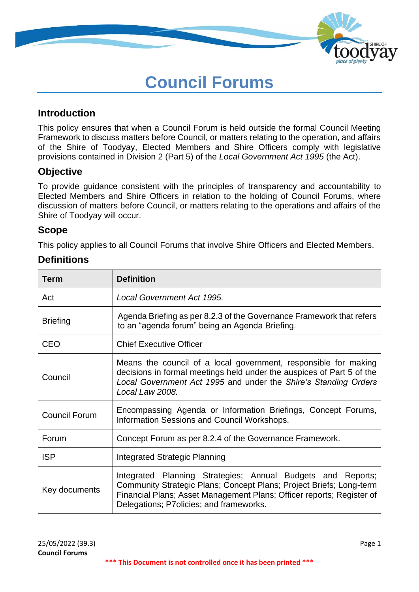

# **Council Forums**

## **Introduction**

This policy ensures that when a Council Forum is held outside the formal Council Meeting Framework to discuss matters before Council, or matters relating to the operation, and affairs of the Shire of Toodyay, Elected Members and Shire Officers comply with legislative provisions contained in Division 2 (Part 5) of the *Local Government Act 1995* (the Act).

## **Objective**

To provide guidance consistent with the principles of transparency and accountability to Elected Members and Shire Officers in relation to the holding of Council Forums, where discussion of matters before Council, or matters relating to the operations and affairs of the Shire of Toodyay will occur.

## **Scope**

This policy applies to all Council Forums that involve Shire Officers and Elected Members.

## **Definitions**

| Term                 | <b>Definition</b>                                                                                                                                                                                                                                      |  |
|----------------------|--------------------------------------------------------------------------------------------------------------------------------------------------------------------------------------------------------------------------------------------------------|--|
| Act                  | Local Government Act 1995.                                                                                                                                                                                                                             |  |
| <b>Briefing</b>      | Agenda Briefing as per 8.2.3 of the Governance Framework that refers<br>to an "agenda forum" being an Agenda Briefing.                                                                                                                                 |  |
| <b>CEO</b>           | <b>Chief Executive Officer</b>                                                                                                                                                                                                                         |  |
| Council              | Means the council of a local government, responsible for making<br>decisions in formal meetings held under the auspices of Part 5 of the<br>Local Government Act 1995 and under the Shire's Standing Orders<br>Local Law 2008.                         |  |
| <b>Council Forum</b> | Encompassing Agenda or Information Briefings, Concept Forums,<br>Information Sessions and Council Workshops.                                                                                                                                           |  |
| Forum                | Concept Forum as per 8.2.4 of the Governance Framework.                                                                                                                                                                                                |  |
| <b>ISP</b>           | Integrated Strategic Planning                                                                                                                                                                                                                          |  |
| Key documents        | Integrated Planning Strategies; Annual Budgets and Reports;<br>Community Strategic Plans; Concept Plans; Project Briefs; Long-term<br>Financial Plans; Asset Management Plans; Officer reports; Register of<br>Delegations; P7olicies; and frameworks. |  |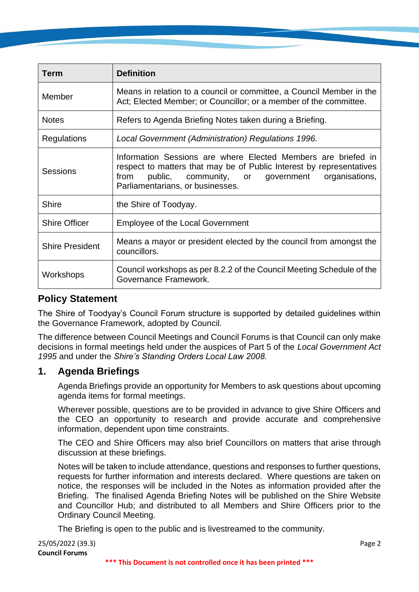| Term                   | <b>Definition</b>                                                                                                                                                                                                                    |  |
|------------------------|--------------------------------------------------------------------------------------------------------------------------------------------------------------------------------------------------------------------------------------|--|
| Member                 | Means in relation to a council or committee, a Council Member in the<br>Act; Elected Member; or Councillor; or a member of the committee.                                                                                            |  |
| <b>Notes</b>           | Refers to Agenda Briefing Notes taken during a Briefing.                                                                                                                                                                             |  |
| Regulations            | Local Government (Administration) Regulations 1996.                                                                                                                                                                                  |  |
| Sessions               | Information Sessions are where Elected Members are briefed in<br>respect to matters that may be of Public Interest by representatives<br>public, community, or government organisations,<br>from<br>Parliamentarians, or businesses. |  |
| <b>Shire</b>           | the Shire of Toodyay.                                                                                                                                                                                                                |  |
| <b>Shire Officer</b>   | <b>Employee of the Local Government</b>                                                                                                                                                                                              |  |
| <b>Shire President</b> | Means a mayor or president elected by the council from amongst the<br>councillors.                                                                                                                                                   |  |
| Workshops              | Council workshops as per 8.2.2 of the Council Meeting Schedule of the<br>Governance Framework.                                                                                                                                       |  |

## **Policy Statement**

The Shire of Toodyay's Council Forum structure is supported by detailed guidelines within the Governance Framework, adopted by Council.

The difference between Council Meetings and Council Forums is that Council can only make decisions in formal meetings held under the auspices of Part 5 of the *Local Government Act 1995* and under the *Shire's Standing Orders Local Law 2008.*

## **1. Agenda Briefings**

Agenda Briefings provide an opportunity for Members to ask questions about upcoming agenda items for formal meetings.

Wherever possible, questions are to be provided in advance to give Shire Officers and the CEO an opportunity to research and provide accurate and comprehensive information, dependent upon time constraints.

The CEO and Shire Officers may also brief Councillors on matters that arise through discussion at these briefings.

Notes will be taken to include attendance, questions and responses to further questions, requests for further information and interests declared. Where questions are taken on notice, the responses will be included in the Notes as information provided after the Briefing. The finalised Agenda Briefing Notes will be published on the Shire Website and Councillor Hub; and distributed to all Members and Shire Officers prior to the Ordinary Council Meeting.

The Briefing is open to the public and is livestreamed to the community.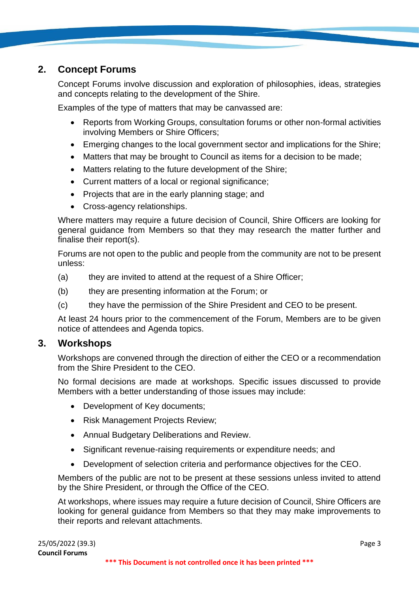## **2. Concept Forums**

Concept Forums involve discussion and exploration of philosophies, ideas, strategies and concepts relating to the development of the Shire.

Examples of the type of matters that may be canvassed are:

- Reports from Working Groups, consultation forums or other non-formal activities involving Members or Shire Officers;
- Emerging changes to the local government sector and implications for the Shire;
- Matters that may be brought to Council as items for a decision to be made;
- Matters relating to the future development of the Shire;
- Current matters of a local or regional significance;
- Projects that are in the early planning stage; and
- Cross-agency relationships.

Where matters may require a future decision of Council, Shire Officers are looking for general guidance from Members so that they may research the matter further and finalise their report(s).

Forums are not open to the public and people from the community are not to be present unless:

- (a) they are invited to attend at the request of a Shire Officer;
- (b) they are presenting information at the Forum; or
- (c) they have the permission of the Shire President and CEO to be present.

At least 24 hours prior to the commencement of the Forum, Members are to be given notice of attendees and Agenda topics.

## **3. Workshops**

Workshops are convened through the direction of either the CEO or a recommendation from the Shire President to the CEO.

No formal decisions are made at workshops. Specific issues discussed to provide Members with a better understanding of those issues may include:

- Development of Key documents;
- Risk Management Projects Review;
- Annual Budgetary Deliberations and Review.
- Significant revenue-raising requirements or expenditure needs; and
- Development of selection criteria and performance objectives for the CEO.

Members of the public are not to be present at these sessions unless invited to attend by the Shire President, or through the Office of the CEO.

At workshops, where issues may require a future decision of Council, Shire Officers are looking for general guidance from Members so that they may make improvements to their reports and relevant attachments.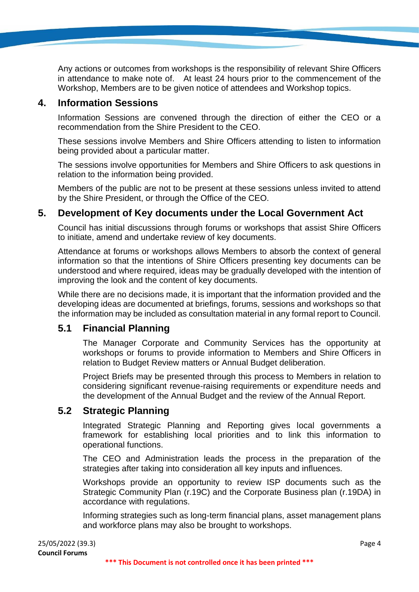Any actions or outcomes from workshops is the responsibility of relevant Shire Officers in attendance to make note of. At least 24 hours prior to the commencement of the Workshop, Members are to be given notice of attendees and Workshop topics.

## **4. Information Sessions**

Information Sessions are convened through the direction of either the CEO or a recommendation from the Shire President to the CEO.

These sessions involve Members and Shire Officers attending to listen to information being provided about a particular matter.

The sessions involve opportunities for Members and Shire Officers to ask questions in relation to the information being provided.

Members of the public are not to be present at these sessions unless invited to attend by the Shire President, or through the Office of the CEO.

## **5. Development of Key documents under the Local Government Act**

Council has initial discussions through forums or workshops that assist Shire Officers to initiate, amend and undertake review of key documents.

Attendance at forums or workshops allows Members to absorb the context of general information so that the intentions of Shire Officers presenting key documents can be understood and where required, ideas may be gradually developed with the intention of improving the look and the content of key documents.

While there are no decisions made, it is important that the information provided and the developing ideas are documented at briefings, forums, sessions and workshops so that the information may be included as consultation material in any formal report to Council.

## **5.1 Financial Planning**

The Manager Corporate and Community Services has the opportunity at workshops or forums to provide information to Members and Shire Officers in relation to Budget Review matters or Annual Budget deliberation.

Project Briefs may be presented through this process to Members in relation to considering significant revenue-raising requirements or expenditure needs and the development of the Annual Budget and the review of the Annual Report.

## **5.2 Strategic Planning**

Integrated Strategic Planning and Reporting gives local governments a framework for establishing local priorities and to link this information to operational functions.

The CEO and Administration leads the process in the preparation of the strategies after taking into consideration all key inputs and influences.

Workshops provide an opportunity to review ISP documents such as the Strategic Community Plan (r.19C) and the Corporate Business plan (r.19DA) in accordance with regulations.

Informing strategies such as long-term financial plans, asset management plans and workforce plans may also be brought to workshops.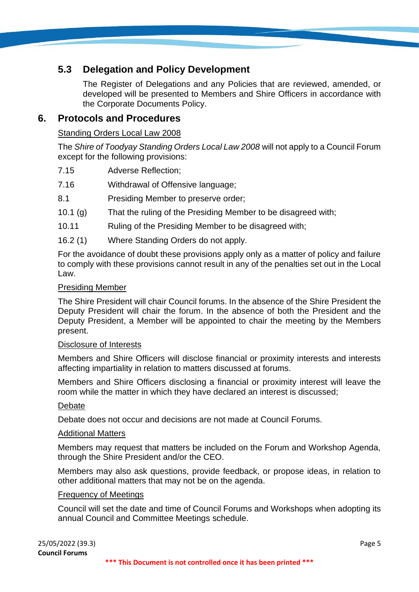# **5.3 Delegation and Policy Development**

The Register of Delegations and any Policies that are reviewed, amended, or developed will be presented to Members and Shire Officers in accordance with the Corporate Documents Policy.

## **6. Protocols and Procedures**

#### Standing Orders Local Law 2008

The *Shire of Toodyay Standing Orders Local Law 2008* will not apply to a Council Forum except for the following provisions:

- 7.15 Adverse Reflection;
- 7.16 Withdrawal of Offensive language;
- 8.1 Presiding Member to preserve order;
- 10.1 (g) That the ruling of the Presiding Member to be disagreed with;
- 10.11 Ruling of the Presiding Member to be disagreed with;
- 16.2 (1) Where Standing Orders do not apply.

For the avoidance of doubt these provisions apply only as a matter of policy and failure to comply with these provisions cannot result in any of the penalties set out in the Local Law.

#### Presiding Member

The Shire President will chair Council forums. In the absence of the Shire President the Deputy President will chair the forum. In the absence of both the President and the Deputy President, a Member will be appointed to chair the meeting by the Members present.

#### Disclosure of Interests

Members and Shire Officers will disclose financial or proximity interests and interests affecting impartiality in relation to matters discussed at forums.

Members and Shire Officers disclosing a financial or proximity interest will leave the room while the matter in which they have declared an interest is discussed;

#### Debate

Debate does not occur and decisions are not made at Council Forums.

#### Additional Matters

Members may request that matters be included on the Forum and Workshop Agenda, through the Shire President and/or the CEO.

Members may also ask questions, provide feedback, or propose ideas, in relation to other additional matters that may not be on the agenda.

#### Frequency of Meetings

Council will set the date and time of Council Forums and Workshops when adopting its annual Council and Committee Meetings schedule.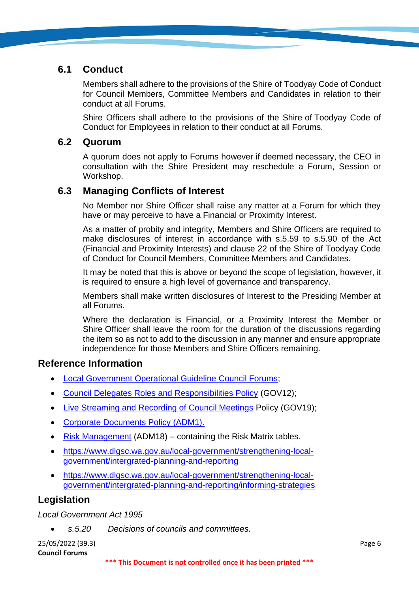## **6.1 Conduct**

Members shall adhere to the provisions of the Shire of Toodyay Code of Conduct for Council Members, Committee Members and Candidates in relation to their conduct at all Forums.

Shire Officers shall adhere to the provisions of the Shire of Toodyay Code of Conduct for Employees in relation to their conduct at all Forums.

## **6.2 Quorum**

A quorum does not apply to Forums however if deemed necessary, the CEO in consultation with the Shire President may reschedule a Forum, Session or Workshop.

## **6.3 Managing Conflicts of Interest**

No Member nor Shire Officer shall raise any matter at a Forum for which they have or may perceive to have a Financial or Proximity Interest.

As a matter of probity and integrity, Members and Shire Officers are required to make disclosures of interest in accordance with s.5.59 to s.5.90 of the Act (Financial and Proximity Interests) and clause 22 of the Shire of Toodyay Code of Conduct for Council Members, Committee Members and Candidates.

It may be noted that this is above or beyond the scope of legislation, however, it is required to ensure a high level of governance and transparency.

Members shall make written disclosures of Interest to the Presiding Member at all Forums.

Where the declaration is Financial, or a Proximity Interest the Member or Shire Officer shall leave the room for the duration of the discussions regarding the item so as not to add to the discussion in any manner and ensure appropriate independence for those Members and Shire Officers remaining.

## **Reference Information**

- [Local Government Operational Guideline Council Forums;](https://www.dlgsc.wa.gov.au/department/publications/publication/council-forums)
- [Council Delegates Roles and Responsibilities Policy](https://www.toodyay.wa.gov.au/documents/323/council-delegates-roles-and-responsibilities) (GOV12);
- [Live Streaming and Recording of Council Meetings](https://www.toodyay.wa.gov.au/documents/326/live-streaming-and-recording-of-council-meetings) Policy (GOV19);
- [Corporate Documents Policy \(ADM1\).](https://www.toodyay.wa.gov.au/documents/308/corporate-documents)
- [Risk Management](https://www.toodyay.wa.gov.au/documents/110/risk-management) (ADM18) containing the Risk Matrix tables.
- [https://www.dlgsc.wa.gov.au/local-government/strengthening-local](https://www.dlgsc.wa.gov.au/local-government/strengthening-local-government/intergrated-planning-and-reporting)[government/intergrated-planning-and-reporting](https://www.dlgsc.wa.gov.au/local-government/strengthening-local-government/intergrated-planning-and-reporting)
- [https://www.dlgsc.wa.gov.au/local-government/strengthening-local](https://www.dlgsc.wa.gov.au/local-government/strengthening-local-government/intergrated-planning-and-reporting/informing-strategies)[government/intergrated-planning-and-reporting/informing-strategies](https://www.dlgsc.wa.gov.au/local-government/strengthening-local-government/intergrated-planning-and-reporting/informing-strategies)

# **Legislation**

*Local Government Act 1995*

• *s.5.20 Decisions of councils and committees.*

25/05/2022 (39.3) Page 6 **Council Forums**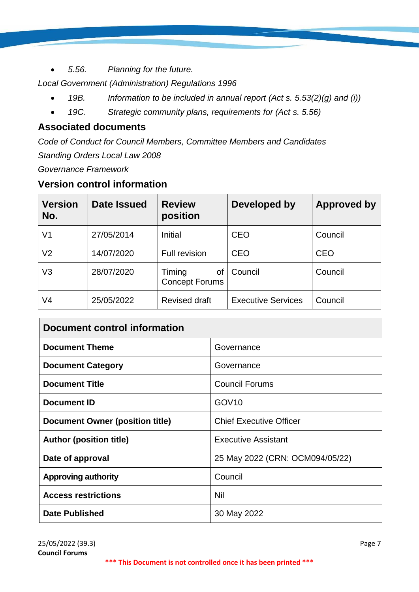• *5.56. Planning for the future.*

*Local Government (Administration) Regulations 1996* 

- *19B. Information to be included in annual report (Act s. 5.53(2)(g) and (i))*
- *19C. Strategic community plans, requirements for (Act s. 5.56)*

# **Associated documents**

*Code of Conduct for Council Members, Committee Members and Candidates Standing Orders Local Law 2008 Governance Framework*

## **Version control information**

| <b>Version</b><br>No. | Date Issued | <b>Review</b><br>position             | Developed by              | <b>Approved by</b> |
|-----------------------|-------------|---------------------------------------|---------------------------|--------------------|
| V1                    | 27/05/2014  | <b>Initial</b>                        | <b>CEO</b>                | Council            |
| V <sub>2</sub>        | 14/07/2020  | <b>Full revision</b>                  | <b>CEO</b>                | <b>CEO</b>         |
| V3                    | 28/07/2020  | Timing<br>οf<br><b>Concept Forums</b> | Council                   | Council            |
| V4                    | 25/05/2022  | <b>Revised draft</b>                  | <b>Executive Services</b> | Council            |

| Document control information           |                                 |  |  |
|----------------------------------------|---------------------------------|--|--|
| <b>Document Theme</b>                  | Governance                      |  |  |
| <b>Document Category</b>               | Governance                      |  |  |
| <b>Document Title</b>                  | <b>Council Forums</b>           |  |  |
| <b>Document ID</b>                     | GOV <sub>10</sub>               |  |  |
| <b>Document Owner (position title)</b> | <b>Chief Executive Officer</b>  |  |  |
| <b>Author (position title)</b>         | <b>Executive Assistant</b>      |  |  |
| Date of approval                       | 25 May 2022 (CRN: OCM094/05/22) |  |  |
| <b>Approving authority</b>             | Council                         |  |  |
| <b>Access restrictions</b>             | Nil                             |  |  |
| <b>Date Published</b>                  | 30 May 2022                     |  |  |